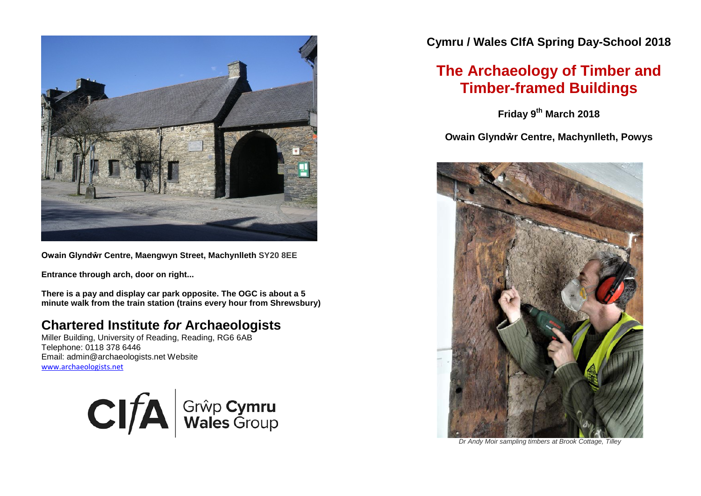

**Owain Glyndŵr Centre, Maengwyn Street, Machynlleth SY20 8EE**

**Entrance through arch, door on right...**

**There is a pay and display car park opposite. The OGC is about a 5 minute walk from the train station (trains every hour from Shrewsbury)**

### **Chartered Institute** *for* **Archaeologists**

Miller Building, University of Reading, Reading, RG6 6AB Telephone: 0118 378 6446 Email: admin@archaeologists.net Website [www.archaeologists.net](http://www.archaeologists.net/)



**Cymru / Wales CIfA Spring Day-School 2018**

# **The Archaeology of Timber and Timber-framed Buildings**

**Friday 9th March 2018**

**Owain Glyndŵr Centre, Machynlleth, Powys**



*Dr Andy Moir sampling timbers at Brook Cottage, Tilley*